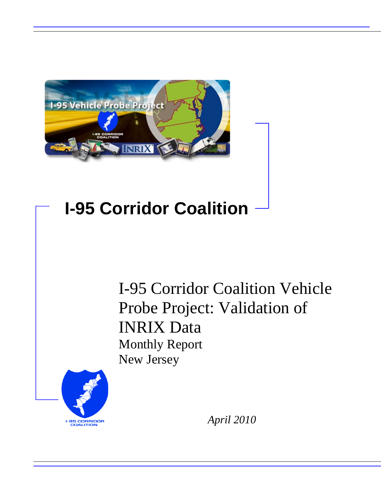

# **I-95 Corridor Coalition**

I-95 Corridor Coalition Vehicle Probe Project: Validation of INRIX Data Monthly Report New Jersey



*April 2010*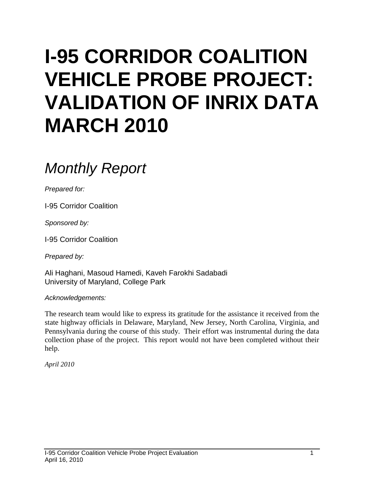# **I-95 CORRIDOR COALITION VEHICLE PROBE PROJECT: VALIDATION OF INRIX DATA MARCH 2010**

# *Monthly Report*

*Prepared for:*

I-95 Corridor Coalition

*Sponsored by:*

I-95 Corridor Coalition

*Prepared by:*

Ali Haghani, Masoud Hamedi, Kaveh Farokhi Sadabadi University of Maryland, College Park

*Acknowledgements:*

The research team would like to express its gratitude for the assistance it received from the state highway officials in Delaware, Maryland, New Jersey, North Carolina, Virginia, and Pennsylvania during the course of this study. Their effort was instrumental during the data collection phase of the project. This report would not have been completed without their help.

*April 2010*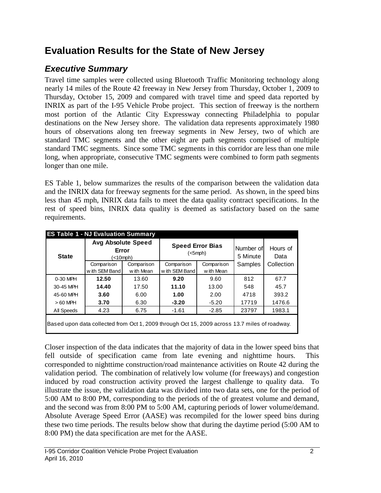# **Evaluation Results for the State of New Jersey**

# *Executive Summary*

Travel time samples were collected using Bluetooth Traffic Monitoring technology along nearly 14 miles of the Route 42 freeway in New Jersey from Thursday, October 1, 2009 to Thursday, October 15, 2009 and compared with travel time and speed data reported by INRIX as part of the I-95 Vehicle Probe project. This section of freeway is the northern most portion of the Atlantic City Expressway connecting Philadelphia to popular destinations on the New Jersey shore. The validation data represents approximately 1980 hours of observations along ten freeway segments in New Jersey, two of which are standard TMC segments and the other eight are path segments comprised of multiple standard TMC segments. Since some TMC segments in this corridor are less than one mile long, when appropriate, consecutive TMC segments were combined to form path segments longer than one mile.

ES Table 1, below summarizes the results of the comparison between the validation data and the INRIX data for freeway segments for the same period. As shown, in the speed bins less than 45 mph, INRIX data fails to meet the data quality contract specifications. In the rest of speed bins, INRIX data quality is deemed as satisfactory based on the same requirements.

|              | <b>ES Table 1 - NJ Evaluation Summary</b>            |            |                                                                                               |            |                       |                  |
|--------------|------------------------------------------------------|------------|-----------------------------------------------------------------------------------------------|------------|-----------------------|------------------|
| <b>State</b> | <b>Avg Absolute Speed</b><br>Error<br>$\leq 10$ mph) |            | <b>Speed Error Bias</b><br>$(<5$ mph $)$                                                      |            | Number of<br>5 Minute | Hours of<br>Data |
|              | Comparison                                           | Comparison | Comparison                                                                                    | Comparison | Samples               | Collection       |
|              | with SEM Band                                        | w ith Mean | with SEM Band                                                                                 | w ith Mean |                       |                  |
| 0-30 MPH     | 12.50                                                | 13.60      | 9.20                                                                                          | 9.60       | 812                   | 67.7             |
| 30-45 MPH    | 14.40                                                | 17.50      | 11.10                                                                                         | 13.00      | 548                   | 45.7             |
| 45-60 MPH    | 3.60                                                 | 6.00       | 1.00                                                                                          | 2.00       | 4718                  | 393.2            |
| $>60$ MPH    | 3.70                                                 | 6.30       | $-3.20$                                                                                       | $-5.20$    | 17719                 | 1476.6           |
| All Speeds   | 4.23                                                 | 6.75       | $-1.61$                                                                                       | $-2.85$    | 23797                 | 1983.1           |
|              |                                                      |            | Based upon data collected from Oct 1, 2009 through Oct 15, 2009 across 13.7 miles of roadway. |            |                       |                  |

Closer inspection of the data indicates that the majority of data in the lower speed bins that fell outside of specification came from late evening and nighttime hours. This corresponded to nighttime construction/road maintenance activities on Route 42 during the validation period. The combination of relatively low volume (for freeways) and congestion induced by road construction activity proved the largest challenge to quality data. To illustrate the issue, the validation data was divided into two data sets, one for the period of 5:00 AM to 8:00 PM, corresponding to the periods of the of greatest volume and demand, and the second was from 8:00 PM to 5:00 AM, capturing periods of lower volume/demand. Absolute Average Speed Error (AASE) was recompiled for the lower speed bins during these two time periods. The results below show that during the daytime period (5:00 AM to 8:00 PM) the data specification are met for the AASE.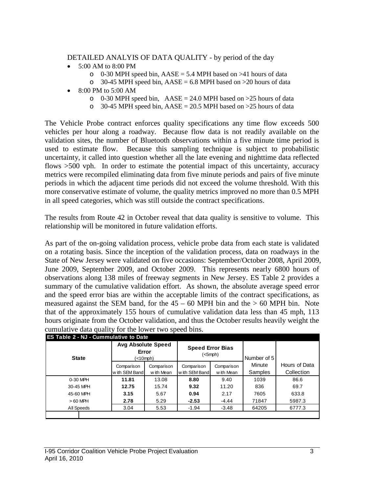#### DETAILED ANALYIS OF DATA QUALITY - by period of the day

- 5:00 AM to 8:00 PM
	- $\degree$  0-30 MPH speed bin, AASE = 5.4 MPH based on >41 hours of data
	- $\degree$  30-45 MPH speed bin, AASE = 6.8 MPH based on >20 hours of data
- 8:00 PM to 5:00 AM
	- $\circ$  0-30 MPH speed bin, AASE = 24.0 MPH based on >25 hours of data
	- $\degree$  30-45 MPH speed bin, AASE = 20.5 MPH based on >25 hours of data

The Vehicle Probe contract enforces quality specifications any time flow exceeds 500 vehicles per hour along a roadway. Because flow data is not readily available on the validation sites, the number of Bluetooth observations within a five minute time period is used to estimate flow. Because this sampling technique is subject to probabilistic uncertainty, it called into question whether all the late evening and nighttime data reflected flows  $>500$  vph. In order to estimate the potential impact of this uncertainty, accuracy metrics were recompiled eliminating data from five minute periods and pairs of five minute periods in which the adjacent time periods did not exceed the volume threshold. With this more conservative estimate of volume, the quality metrics improved no more than 0.5 MPH in all speed categories, which was still outside the contract specifications.

The results from Route 42 in October reveal that data quality is sensitive to volume. This relationship will be monitored in future validation efforts.

As part of the on-going validation process, vehicle probe data from each state is validated on a rotating basis. Since the inception of the validation process, data on roadways in the State of New Jersey were validated on five occasions: September/October 2008, April 2009, June 2009, September 2009, and October 2009. This represents nearly 6800 hours of observations along 138 miles of freeway segments in New Jersey. ES Table 2 provides a summary of the cumulative validation effort. As shown, the absolute average speed error and the speed error bias are within the acceptable limits of the contract specifications, as measured against the SEM band, for the  $45 - 60$  MPH bin and the  $> 60$  MPH bin. Note that of the approximately 155 hours of cumulative validation data less than 45 mph, 113 hours originate from the October validation, and thus the October results heavily weight the cumulative data quality for the lower two speed bins.

| <b>State</b> | <b>Avg Absolute Speed</b><br>Error<br>(<10mph) |            | <b>Speed Error Bias</b><br>$(<5$ mph $)$ |            | Number of 5 |               |
|--------------|------------------------------------------------|------------|------------------------------------------|------------|-------------|---------------|
|              | Comparison<br>Comparison                       |            | Comparison                               | Comparison | Minute      | Hours of Data |
|              | with SEM Band                                  | w ith Mean | with SEM Band                            | w ith Mean | Samples     | Collection    |
| 0-30 MPH     | 11.81                                          | 13.08      | 8.80                                     | 9.40       | 1039        | 86.6          |
| 30-45 MPH    | 12.75                                          | 15.74      | 9.32                                     | 11.20      | 836         | 69.7          |
| 45-60 MPH    | 3.15                                           | 5.67       | 0.94                                     | 2.17       | 7605        | 633.8         |
| $>60$ MPH    | 2.78                                           | 5.29       | $-2.53$                                  | -4.44      | 71847       | 5987.3        |
| All Speeds   | 3.04                                           | 5.53       | -1.94                                    | $-3.48$    | 64205       | 6777.3        |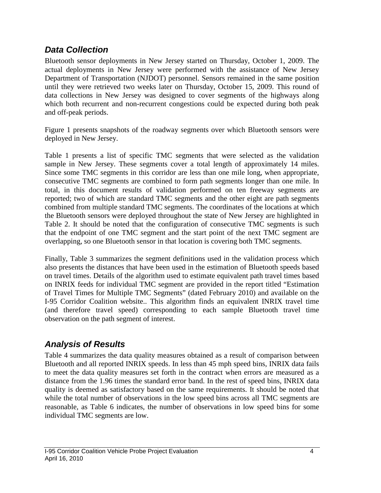### *Data Collection*

Bluetooth sensor deployments in New Jersey started on Thursday, October 1, 2009. The actual deployments in New Jersey were performed with the assistance of New Jersey Department of Transportation (NJDOT) personnel. Sensors remained in the same position until they were retrieved two weeks later on Thursday, October 15, 2009. This round of data collections in New Jersey was designed to cover segments of the highways along which both recurrent and non-recurrent congestions could be expected during both peak and off-peak periods.

Figure 1 presents snapshots of the roadway segments over which Bluetooth sensors were deployed in New Jersey.

Table 1 presents a list of specific TMC segments that were selected as the validation sample in New Jersey. These segments cover a total length of approximately 14 miles. Since some TMC segments in this corridor are less than one mile long, when appropriate, consecutive TMC segments are combined to form path segments longer than one mile. In total, in this document results of validation performed on ten freeway segments are reported; two of which are standard TMC segments and the other eight are path segments combined from multiple standard TMC segments. The coordinates of the locations at which the Bluetooth sensors were deployed throughout the state of New Jersey are highlighted in Table 2. It should be noted that the configuration of consecutive TMC segments is such that the endpoint of one TMC segment and the start point of the next TMC segment are overlapping, so one Bluetooth sensor in that location is covering both TMC segments.

Finally, Table 3 summarizes the segment definitions used in the validation process which also presents the distances that have been used in the estimation of Bluetooth speeds based on travel times. Details of the algorithm used to estimate equivalent path travel times based on INRIX feeds for individual TMC segment are provided in the report titled "Estimation of Travel Times for Multiple TMC Segments" (dated February 2010) and available on the I-95 Corridor Coalition website.. This algorithm finds an equivalent INRIX travel time (and therefore travel speed) corresponding to each sample Bluetooth travel time observation on the path segment of interest.

## *Analysis of Results*

Table 4 summarizes the data quality measures obtained as a result of comparison between Bluetooth and all reported INRIX speeds. In less than 45 mph speed bins, INRIX data fails to meet the data quality measures set forth in the contract when errors are measured as a distance from the 1.96 times the standard error band. In the rest of speed bins, INRIX data quality is deemed as satisfactory based on the same requirements. It should be noted that while the total number of observations in the low speed bins across all TMC segments are reasonable, as Table 6 indicates, the number of observations in low speed bins for some individual TMC segments are low.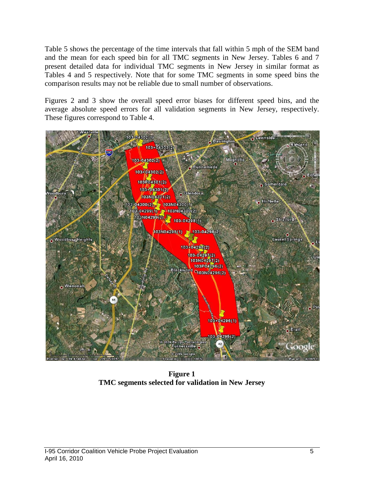Table 5 shows the percentage of the time intervals that fall within 5 mph of the SEM band and the mean for each speed bin for all TMC segments in New Jersey. Tables 6 and 7 present detailed data for individual TMC segments in New Jersey in similar format as Tables 4 and 5 respectively. Note that for some TMC segments in some speed bins the comparison results may not be reliable due to small number of observations.

Figures 2 and 3 show the overall speed error biases for different speed bins, and the average absolute speed errors for all validation segments in New Jersey, respectively. These figures correspond to Table 4.



**Figure 1 TMC segments selected for validation in New Jersey**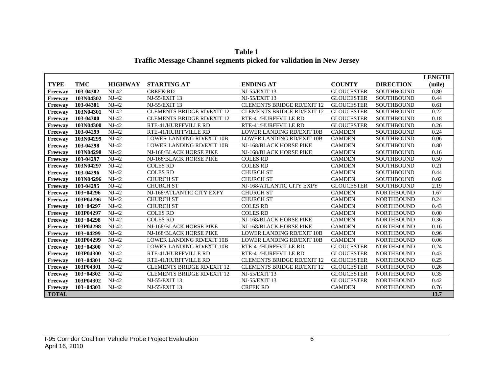|                |               |                |                                   |                                   |                   |                   | <b>LENGTH</b> |
|----------------|---------------|----------------|-----------------------------------|-----------------------------------|-------------------|-------------------|---------------|
| <b>TYPE</b>    | <b>TMC</b>    | <b>HIGHWAY</b> | <b>STARTING AT</b>                | <b>ENDING AT</b>                  | <b>COUNTY</b>     | <b>DIRECTION</b>  | (mile)        |
| Freeway        | 103-04302     | $NJ-42$        | <b>CREEK RD</b>                   | <b>NJ-55/EXIT 13</b>              | <b>GLOUCESTER</b> | SOUTHBOUND        | 0.80          |
| Freeway        | 103N04302     | $NJ-42$        | <b>NJ-55/EXIT 13</b>              | NJ-55/EXIT 13                     | <b>GLOUCESTER</b> | <b>SOUTHBOUND</b> | 0.44          |
| Freeway        | 103-04301     | $NJ-42$        | <b>NJ-55/EXIT 13</b>              | <b>CLEMENTS BRIDGE RD/EXIT 12</b> | <b>GLOUCESTER</b> | <b>SOUTHBOUND</b> | 0.61          |
| Freeway        | 103N04301     | $NJ-42$        | <b>CLEMENTS BRIDGE RD/EXIT 12</b> | <b>CLEMENTS BRIDGE RD/EXIT 12</b> | <b>GLOUCESTER</b> | <b>SOUTHBOUND</b> | 0.22          |
| Freeway        | 103-04300     | $NJ-42$        | <b>CLEMENTS BRIDGE RD/EXIT 12</b> | RTE-41/HURFFVILLE RD              | <b>GLOUCESTER</b> | <b>SOUTHBOUND</b> | 0.18          |
| Freeway        | 103N04300     | $NJ-42$        | RTE-41/HURFFVILLE RD              | RTE-41/HURFFVILLE RD              | <b>GLOUCESTER</b> | <b>SOUTHBOUND</b> | 0.26          |
| <b>Freeway</b> | 103-04299     | $NJ-42$        | RTE-41/HURFFVILLE RD              | <b>LOWER LANDING RD/EXIT 10B</b>  | <b>CAMDEN</b>     | <b>SOUTHBOUND</b> | 0.24          |
| Freeway        | 103N04299     | $NJ-42$        | <b>LOWER LANDING RD/EXIT 10B</b>  | <b>LOWER LANDING RD/EXIT 10B</b>  | <b>CAMDEN</b>     | <b>SOUTHBOUND</b> | 0.06          |
| Freeway        | 103-04298     | $NJ-42$        | <b>LOWER LANDING RD/EXIT 10B</b>  | NJ-168/BLACK HORSE PIKE           | <b>CAMDEN</b>     | <b>SOUTHBOUND</b> | 0.80          |
| Freeway        | 103N04298     | $NJ-42$        | NJ-168/BLACK HORSE PIKE           | NJ-168/BLACK HORSE PIKE           | <b>CAMDEN</b>     | <b>SOUTHBOUND</b> | 0.16          |
| <b>Freeway</b> | 103-04297     | $NJ-42$        | NJ-168/BLACK HORSE PIKE           | <b>COLES RD</b>                   | <b>CAMDEN</b>     | <b>SOUTHBOUND</b> | 0.50          |
| Freeway        | 103N04297     | $NJ-42$        | <b>COLES RD</b>                   | <b>COLES RD</b>                   | <b>CAMDEN</b>     | <b>SOUTHBOUND</b> | 0.21          |
| <b>Freeway</b> | 103-04296     | $NJ-42$        | <b>COLES RD</b>                   | <b>CHURCH ST</b>                  | <b>CAMDEN</b>     | <b>SOUTHBOUND</b> | 0.44          |
| Freeway        | 103N04296     | $NJ-42$        | <b>CHURCH ST</b>                  | <b>CHURCH ST</b>                  | <b>CAMDEN</b>     | <b>SOUTHBOUND</b> | 0.02          |
| Freeway        | 103-04295     | $NJ-42$        | <b>CHURCH ST</b>                  | NJ-168/ATLANTIC CITY EXPY         | <b>GLOUCESTER</b> | <b>SOUTHBOUND</b> | 2.19          |
| Freeway        | $103+04296$   | $NJ-42$        | NJ-168/ATLANTIC CITY EXPY         | <b>CHURCH ST</b>                  | <b>CAMDEN</b>     | <b>NORTHBOUND</b> | 1.67          |
| Freeway        | 103P04296     | $NJ-42$        | <b>CHURCH ST</b>                  | <b>CHURCH ST</b>                  | <b>CAMDEN</b>     | <b>NORTHBOUND</b> | 0.24          |
| <b>Freeway</b> | $103 + 04297$ | $NJ-42$        | <b>CHURCH ST</b>                  | <b>COLES RD</b>                   | <b>CAMDEN</b>     | <b>NORTHBOUND</b> | 0.43          |
| Freeway        | 103P04297     | $NJ-42$        | <b>COLES RD</b>                   | <b>COLES RD</b>                   | <b>CAMDEN</b>     | <b>NORTHBOUND</b> | 0.00          |
| <b>Freeway</b> | $103+04298$   | $NJ-42$        | <b>COLES RD</b>                   | NJ-168/BLACK HORSE PIKE           | <b>CAMDEN</b>     | <b>NORTHBOUND</b> | 0.36          |
| Freeway        | 103P04298     | $NJ-42$        | NJ-168/BLACK HORSE PIKE           | NJ-168/BLACK HORSE PIKE           | <b>CAMDEN</b>     | <b>NORTHBOUND</b> | 0.16          |
| Freeway        | $103+04299$   | $NJ-42$        | NJ-168/BLACK HORSE PIKE           | <b>LOWER LANDING RD/EXIT 10B</b>  | <b>CAMDEN</b>     | <b>NORTHBOUND</b> | 0.96          |
| Freeway        | 103P04299     | $NJ-42$        | <b>LOWER LANDING RD/EXIT 10B</b>  | <b>LOWER LANDING RD/EXIT 10B</b>  | <b>CAMDEN</b>     | <b>NORTHBOUND</b> | 0.06          |
| Freeway        | $103 + 04300$ | $NJ-42$        | <b>LOWER LANDING RD/EXIT 10B</b>  | RTE-41/HURFFVILLE RD              | <b>GLOUCESTER</b> | <b>NORTHBOUND</b> | 0.24          |
| Freeway        | 103P04300     | $NJ-42$        | RTE-41/HURFFVILLE RD              | RTE-41/HURFFVILLE RD              | <b>GLOUCESTER</b> | <b>NORTHBOUND</b> | 0.43          |
| Freeway        | $103+04301$   | $NJ-42$        | RTE-41/HURFFVILLE RD              | <b>CLEMENTS BRIDGE RD/EXIT 12</b> | <b>GLOUCESTER</b> | <b>NORTHBOUND</b> | 0.25          |
| Freeway        | 103P04301     | $NJ-42$        | <b>CLEMENTS BRIDGE RD/EXIT 12</b> | <b>CLEMENTS BRIDGE RD/EXIT 12</b> | <b>GLOUCESTER</b> | <b>NORTHBOUND</b> | 0.26          |
| Freeway        | $103 + 04302$ | $NJ-42$        | <b>CLEMENTS BRIDGE RD/EXIT 12</b> | <b>NJ-55/EXIT 13</b>              | <b>GLOUCESTER</b> | <b>NORTHBOUND</b> | 0.35          |
| <b>Freeway</b> | 103P04302     | $NJ-42$        | <b>NJ-55/EXIT 13</b>              | <b>NJ-55/EXIT 13</b>              | <b>GLOUCESTER</b> | <b>NORTHBOUND</b> | 0.42          |
| Freeway        | $103 + 04303$ | $NJ-42$        | <b>NJ-55/EXIT 13</b>              | <b>CREEK RD</b>                   | <b>CAMDEN</b>     | <b>NORTHBOUND</b> | 0.76          |
| <b>TOTAL</b>   |               |                |                                   |                                   |                   |                   | 13.7          |

**Table 1 Traffic Message Channel segments picked for validation in New Jersey**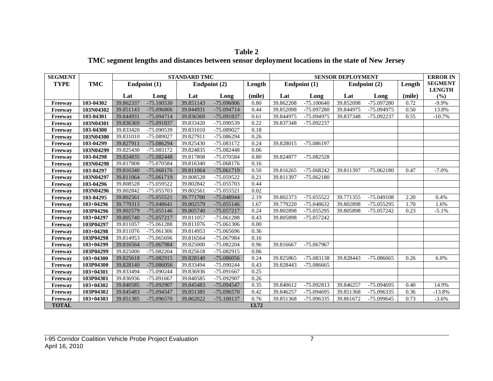| <b>Table 2</b>                                                                                   |
|--------------------------------------------------------------------------------------------------|
| TMC segment lengths and distances between sensor deployment locations in the state of New Jersey |

| <b>SEGMENT</b> |               | <b>STANDARD TMC</b> |              |              |              |        | <b>SENSOR DEPLOYMENT</b> |              |           |              |        | <b>ERROR IN</b>      |
|----------------|---------------|---------------------|--------------|--------------|--------------|--------|--------------------------|--------------|-----------|--------------|--------|----------------------|
| <b>TYPE</b>    | <b>TMC</b>    |                     | Endpoint (1) | Endpoint (2) |              | Length |                          | Endpoint (1) |           | Endpoint (2) | Length | <b>SEGMENT</b>       |
|                |               | Lat                 | Long         | Lat          | Long         | (mile) | Lat                      | Long         | Lat       | Long         | (mile) | <b>LENGTH</b><br>(%) |
| Freeway        | 103-04302     | 39.862337           | $-75.100530$ | 39.851143    | -75.096806   | 0.80   | 39.862208                | $-75.100640$ | 39.852098 | -75.097280   | 0.72   | $-9.9%$              |
| Freeway        | 103N04302     | 39.851143           | -75.096806   | 39.844931    | -75.094714   | 0.44   | 39.852098                | -75.097280   | 39.844975 | -75.094975   | 0.50   | 13.8%                |
| Freeway        | 103-04301     | 39.844931           | -75.094714   | 39.836369    | -75.091837   | 0.61   | 39.844975                | -75.094975   | 39.837348 | -75.092237   | 0.55   | $-10.7%$             |
| Freeway        | 103N04301     | 39.836369           | -75.091837   | 39.833420    | -75.090539   | 0.22   | 39.837348                | $-75.092237$ |           |              |        |                      |
| Freeway        | 103-04300     | 39.833420           | -75.090539   | 39.831010    | -75.089027   | 0.18   |                          |              |           |              |        |                      |
| Freeway        | 103N04300     | 39.831010           | -75.089027   | 39.827911    | -75.086294   | 0.26   |                          |              |           |              |        |                      |
| Freeway        | 103-04299     | 39.827911           | -75.086294   | 39.825430    | -75.083172   | 0.24   | 39.828015                | -75.086197   |           |              |        |                      |
| Freeway        | 103N04299     | 39.825430           | -75.083172   | 39.824835    | $-75.082448$ | 0.06   |                          |              |           |              |        |                      |
| Freeway        | 103-04298     | 39.824835           | $-75.082448$ | 39.817808    | -75.070584   | 0.80   | 39.824877                | $-75.082528$ |           |              |        |                      |
| Freeway        | 103N04298     | 39.817808           | -75.070584   | 39.816340    | $-75.068176$ | 0.16   |                          |              |           |              |        |                      |
| <b>Freeway</b> | 103-04297     | 39.816340           | $-75.068176$ | 39.811064    | $-75.061719$ | 0.50   | 39.816265                | $-75.068242$ | 39.811397 | $-75.062180$ | 0.47   | $-7.0%$              |
| Freeway        | 103N04297     | 39.811064           | -75.061719   | 39.808528    | -75.059522   | 0.21   | 39.811397                | $-75.062180$ |           |              |        |                      |
| Freeway        | 103-04296     | 39.808528           | -75.059522   | 39.802842    | -75.055703   | 0.44   |                          |              |           |              |        |                      |
| Freeway        | 103N04296     | 39.802842           | -75.055703   | 39.802561    | $-75.055521$ | 0.02   |                          |              |           |              |        |                      |
| Freeway        | 103-04295     | 39.802561           | $-75.055521$ | 39.771700    | -75.048944   | 2.19   | 39.802373                | -75.055522   | 39.771355 | -75.049108   | 2.20   | 0.4%                 |
| Freeway        | $103+04296$   | 39.779313           | $-75.048641$ | 39.802579    | $-75.055146$ | 1.67   | 39.779220                | -75.048632   | 39.802898 | $-75.055295$ | 1.70   | 1.6%                 |
| Freeway        | 103P04296     | 39.802579           | $-75.055146$ | 39.805740    | $-75.057217$ | 0.24   | 39.802898                | $-75.055295$ | 39.805898 | -75.057242   | 0.23   | $-5.1%$              |
| <b>Freeway</b> | $103+04297$   | 39.805740           | $-75.057217$ | 39.811057    | $-75.061288$ | 0.43   | 39.805898                | $-75.057242$ |           |              |        |                      |
| Freeway        | 103P04297     | 39.811057           | -75.061288   | 39.811076    | $-75.061306$ | 0.00   |                          |              |           |              |        |                      |
| Freeway        | $103+04298$   | 39.811076           | $-75.061306$ | 39.814953    | -75.065696   | 0.36   |                          |              |           |              |        |                      |
| Freeway        | 103P04298     | 39.814953           | -75.065696   | 39.816564    | -75.067984   | 0.16   |                          |              |           |              |        |                      |
| Freeway        | $103+04299$   | 39.816564           | -75.067984   | 39.825000    | -75.082204   | 0.96   | 39.816667                | -75.067967   |           |              |        |                      |
| Freeway        | 103P04299     | 39.825000           | -75.082204   | 39.825618    | -75.082915   | 0.06   |                          |              |           |              |        |                      |
| Freeway        | $103 + 04300$ | 39.825618           | $-75.082915$ | 39.828140    | -75.086056   | 0.24   | 39.825865                | -75.083138   | 39.828443 | -75.086665   | 0.26   | 6.0%                 |
| Freeway        | 103P04300     | 39.828140           | -75.086056   | 39.833494    | -75.090244   | 0.43   | 39.828443                | $-75.086665$ |           |              |        |                      |
| Freeway        | $103 + 04301$ | 39.833494           | -75.090244   | 39.836936    | -75.091667   | 0.25   |                          |              |           |              |        |                      |
| Freeway        | 103P04301     | 39.836936           | -75.091667   | 39.840585    | -75.092907   | 0.26   |                          |              |           |              |        |                      |
| Freeway        | $103 + 04302$ | 39.840585           | -75.092907   | 39.845483    | -75.094547   | 0.35   | 39.840612                | -75.092813   | 39.846257 | -75.094695   | 0.40   | $14.9\%$             |
| Freeway        | 103P04302     | 39.845483           | -75.094547   | 39.851385    | $-75.096570$ | 0.42   | 39.846257                | -75.094695   | 39.851368 | -75.096335   | 0.36   | $-13.8%$             |
| Freeway        | $103 + 04303$ | 39.851385           | $-75.096570$ | 39.862022    | $-75.100137$ | 0.76   | 39.851368                | -75.096335   | 39.861672 | -75.099645   | 0.73   | $-3.6%$              |
| <b>TOTAL</b>   |               |                     |              |              |              | 13.72  |                          |              |           |              |        |                      |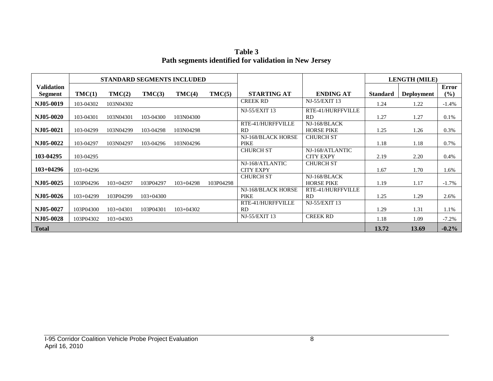**Table 3 Path segments identified for validation in New Jersey**

|                                     | <b>STANDARD SEGMENTS INCLUDED</b> |             |             |             |           |                                     |                                     |                 | <b>LENGTH (MILE)</b> |              |
|-------------------------------------|-----------------------------------|-------------|-------------|-------------|-----------|-------------------------------------|-------------------------------------|-----------------|----------------------|--------------|
| <b>Validation</b><br><b>Segment</b> | TMC(1)                            | TMC(2)      | TMC(3)      | TMC(4)      | TMC(5)    | <b>STARTING AT</b>                  | <b>ENDING AT</b>                    | <b>Standard</b> | <b>Deployment</b>    | Error<br>(%) |
| NJ05-0019                           | 103-04302                         | 103N04302   |             |             |           | <b>CREEK RD</b>                     | NJ-55/EXIT 13                       | 1.24            | 1.22                 | $-1.4%$      |
| NJ05-0020                           | 103-04301                         | 103N04301   | 103-04300   | 103N04300   |           | NJ-55/EXIT 13                       | RTE-41/HURFFVILLE<br><b>RD</b>      | 1.27            | 1.27                 | 0.1%         |
| NJ05-0021                           | 103-04299                         | 103N04299   | 103-04298   | 103N04298   |           | RTE-41/HURFFVILLE<br><b>RD</b>      | NJ-168/BLACK<br><b>HORSE PIKE</b>   | 1.25            | 1.26                 | 0.3%         |
| NJ05-0022                           | 103-04297                         | 103N04297   | 103-04296   | 103N04296   |           | NJ-168/BLACK HORSE<br><b>PIKE</b>   | <b>CHURCH ST</b>                    | 1.18            | 1.18                 | 0.7%         |
| 103-04295                           | 103-04295                         |             |             |             |           | <b>CHURCH ST</b>                    | NJ-168/ATLANTIC<br><b>CITY EXPY</b> | 2.19            | 2.20                 | $0.4\%$      |
| $103+04296$                         | $103+04296$                       |             |             |             |           | NJ-168/ATLANTIC<br><b>CITY EXPY</b> | <b>CHURCH ST</b>                    | 1.67            | 1.70                 | 1.6%         |
| NJ05-0025                           | 103P04296                         | $103+04297$ | 103P04297   | $103+04298$ | 103P04298 | <b>CHURCH ST</b>                    | NJ-168/BLACK<br><b>HORSE PIKE</b>   | 1.19            | 1.17                 | $-1.7\%$     |
| NJ05-0026                           | $103+04299$                       | 103P04299   | $103+04300$ |             |           | NJ-168/BLACK HORSE<br><b>PIKE</b>   | RTE-41/HURFFVILLE<br><b>RD</b>      | 1.25            | 1.29                 | 2.6%         |
| N.I05-0027                          | 103P04300                         | $103+04301$ | 103P04301   | $103+04302$ |           | RTE-41/HURFFVILLE<br><b>RD</b>      | <b>NJ-55/EXIT 13</b>                | 1.29            | 1.31                 | 1.1%         |
| NJ05-0028                           | 103P04302                         | $103+04303$ |             |             |           | NJ-55/EXIT 13                       | <b>CREEK RD</b>                     | 1.18            | 1.09                 | $-7.2%$      |
| <b>Total</b>                        |                                   |             |             |             |           |                                     |                                     | 13.72           | 13.69                | $-0.2\%$     |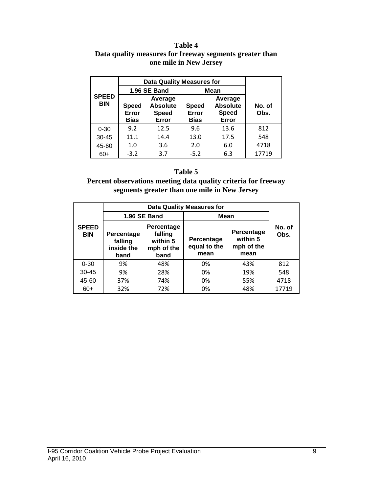#### **Table 4 Data quality measures for freeway segments greater than one mile in New Jersey**

|                            |                                      | <b>Data Quality Measures for</b>                    |                                      |                                                     |                |  |  |  |  |  |
|----------------------------|--------------------------------------|-----------------------------------------------------|--------------------------------------|-----------------------------------------------------|----------------|--|--|--|--|--|
|                            |                                      | 1.96 SE Band                                        | <b>Mean</b>                          |                                                     |                |  |  |  |  |  |
| <b>SPEED</b><br><b>BIN</b> | <b>Speed</b><br>Error<br><b>Bias</b> | Average<br><b>Absolute</b><br><b>Speed</b><br>Error | <b>Speed</b><br>Error<br><b>Bias</b> | Average<br><b>Absolute</b><br><b>Speed</b><br>Error | No. of<br>Obs. |  |  |  |  |  |
| $0 - 30$                   | 9.2                                  | 12.5                                                | 9.6                                  | 13.6                                                | 812            |  |  |  |  |  |
| $30 - 45$                  | 11.1                                 | 14.4                                                | 13.0                                 | 17.5                                                | 548            |  |  |  |  |  |
| 45-60                      | 1.0                                  | 3.6                                                 | 2.0                                  | 6.0                                                 | 4718           |  |  |  |  |  |
| $60+$                      | $-3.2$                               | 3.7                                                 | $-5.2$                               | 6.3                                                 | 17719          |  |  |  |  |  |

#### **Table 5**

**Percent observations meeting data quality criteria for freeway segments greater than one mile in New Jersey**

|                            |                                             |                                                         | <b>Data Quality Measures for</b>   |                                              |                |
|----------------------------|---------------------------------------------|---------------------------------------------------------|------------------------------------|----------------------------------------------|----------------|
|                            |                                             | 1.96 SE Band                                            | Mean                               |                                              |                |
| <b>SPEED</b><br><b>BIN</b> | Percentage<br>falling<br>inside the<br>band | Percentage<br>falling<br>within 5<br>mph of the<br>band | Percentage<br>equal to the<br>mean | Percentage<br>within 5<br>mph of the<br>mean | No. of<br>Obs. |
| $0 - 30$                   | 9%                                          | 48%                                                     | 0%                                 | 43%                                          | 812            |
| $30 - 45$                  | 9%                                          | 28%                                                     | 0%                                 | 19%                                          | 548            |
| 45-60                      | 37%                                         | 74%                                                     | 0%                                 | 55%                                          | 4718           |
| $60+$                      | 32%                                         | 72%                                                     | 0%                                 | 48%                                          | 17719          |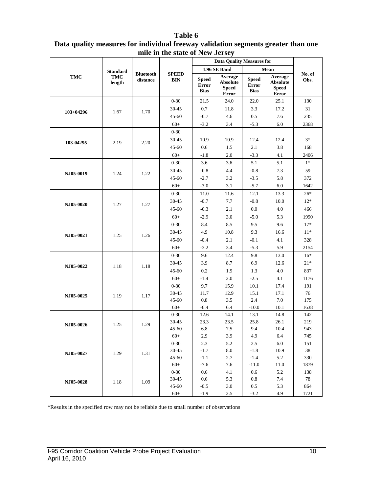|             |                                         |                              |                            |                                             | <b>Data Quality Measures for</b>                           |                                      |                                                     |                |
|-------------|-----------------------------------------|------------------------------|----------------------------|---------------------------------------------|------------------------------------------------------------|--------------------------------------|-----------------------------------------------------|----------------|
|             |                                         |                              |                            |                                             | 1.96 SE Band                                               |                                      | Mean                                                |                |
| <b>TMC</b>  | <b>Standard</b><br><b>TMC</b><br>length | <b>Bluetooth</b><br>distance | <b>SPEED</b><br><b>BIN</b> | <b>Speed</b><br><b>Error</b><br><b>Bias</b> | Average<br><b>Absolute</b><br><b>Speed</b><br><b>Error</b> | <b>Speed</b><br>Error<br><b>Bias</b> | Average<br><b>Absolute</b><br><b>Speed</b><br>Error | No. of<br>Obs. |
|             |                                         |                              | $0 - 30$                   | 21.5                                        | 24.0                                                       | 22.0                                 | 25.1                                                | 130            |
|             |                                         |                              | 30-45                      | $0.7\,$                                     | 11.8                                                       | 3.3                                  | 17.2                                                | 31             |
| $103+04296$ | 1.67                                    | 1.70                         | $45 - 60$                  | $-0.7$                                      | 4.6                                                        | 0.5                                  | 7.6                                                 | 235            |
|             |                                         |                              | $60+$                      | $-3.2$                                      | 3.4                                                        | $-5.3$                               | 6.0                                                 | 2368           |
|             |                                         |                              | $0 - 30$                   |                                             |                                                            |                                      |                                                     |                |
| 103-04295   | 2.19                                    | 2.20                         | 30-45                      | 10.9                                        | 10.9                                                       | 12.4                                 | 12.4                                                | $3*$           |
|             |                                         |                              | $45 - 60$                  | 0.6                                         | 1.5                                                        | 2.1                                  | 3.8                                                 | 168            |
|             |                                         |                              | $60+$                      | $-1.8$                                      | 2.0                                                        | $-3.3$                               | 4.1                                                 | 2406           |
|             |                                         |                              | $0 - 30$                   | 3.6                                         | 3.6                                                        | 5.1                                  | 5.1                                                 | $1*$           |
| NJ05-0019   | 1.24                                    | 1.22                         | 30-45                      | $-0.8$                                      | 4.4                                                        | $-0.8$                               | 7.3                                                 | 59             |
|             |                                         |                              | $45 - 60$                  | $-2.7$                                      | 3.2                                                        | $-3.5$                               | 5.8                                                 | 372            |
|             |                                         |                              | $60+$                      | $-3.0$                                      | 3.1                                                        | $-5.7$                               | 6.0                                                 | 1642           |
|             |                                         |                              | $0 - 30$                   | 11.0                                        | 11.6                                                       | 12.1                                 | 13.3                                                | $26*$          |
| NJ05-0020   |                                         | 1.27                         | 30-45                      | $-0.7$                                      | 7.7                                                        | $-0.8$                               | 10.0                                                | $12*$          |
|             | 1.27                                    |                              | $45 - 60$                  | $-0.3$                                      | 2.1                                                        | 0.0                                  | 4.0                                                 | 466            |
|             |                                         |                              | $60+$                      | $-2.9$                                      | 3.0                                                        | $-5.0$                               | 5.3                                                 | 1990           |
|             |                                         |                              | $0 - 30$                   | 8.4                                         | 8.5                                                        | 9.5                                  | 9.6                                                 | $17*$          |
| NJ05-0021   | 1.25                                    | 1.26                         | 30-45                      | 4.9                                         | 10.8                                                       | 9.3                                  | 16.6                                                | $11*$          |
|             |                                         |                              | $45 - 60$                  | $-0.4$                                      | 2.1                                                        | $-0.1$                               | 4.1                                                 | 328            |
|             |                                         |                              | $60+$                      | $-3.2$                                      | 3.4                                                        | $-5.3$                               | 5.9                                                 | 2154           |
|             |                                         |                              | $0 - 30$                   | 9.6                                         | 12.4                                                       | 9.8                                  | 13.0                                                | $16*$          |
| NJ05-0022   | 1.18                                    |                              | 30-45                      | 3.9                                         | 8.7                                                        | 6.9                                  | 12.6                                                | $21*$          |
|             |                                         | 1.18                         | $45 - 60$                  | 0.2                                         | 1.9                                                        | 1.3                                  | $4.0\,$                                             | 837            |
|             |                                         |                              | $60+$                      | $-1.4$                                      | 2.0                                                        | $-2.5$                               | 4.1                                                 | 1176           |
|             |                                         |                              | $0 - 30$                   | 9.7                                         | 15.9                                                       | 10.1                                 | 17.4                                                | 191            |
| NJ05-0025   | 1.19                                    | 1.17                         | 30-45                      | 11.7                                        | 12.9                                                       | 15.1                                 | 17.1                                                | 76             |
|             |                                         |                              | $45 - 60$                  | 0.8                                         | 3.5                                                        | 2.4                                  | 7.0                                                 | 175            |
|             |                                         |                              | $60+$                      | $-6.4$                                      | 6.4                                                        | $-10.0$                              | 10.1                                                | 1638           |
|             |                                         |                              | $0 - 30$                   | 12.6                                        | 14.1                                                       | 13.1                                 | 14.8                                                | 142            |
| NJ05-0026   | 1.25                                    | 1.29                         | 30-45                      | 23.3                                        | 23.5                                                       | 25.8                                 | 26.1                                                | 219            |
|             |                                         |                              | $45 - 60$                  | 6.8                                         | 7.5                                                        | 9.4                                  | 10.4                                                | 943            |
|             |                                         |                              | $60+$                      | 2.9                                         | 3.9                                                        | 4.9                                  | 6.4                                                 | 745            |
|             |                                         |                              | $0 - 30$                   | 2.3                                         | 5.2                                                        | 2.5                                  | 6.0                                                 | 151            |
| NJ05-0027   | 1.29                                    | 1.31                         | 30-45<br>$45 - 60$         | $-1.7$<br>$-1.1$                            | $\ \ 8.0$<br>2.7                                           | $-1.8$<br>$-1.4$                     | 10.9<br>5.2                                         | 38<br>330      |
|             |                                         |                              | $60+$                      | $-7.6$                                      | 7.6                                                        | $-11.0$                              | 11.0                                                | 1879           |
|             |                                         |                              | $0 - 30$                   | 0.6                                         | 4.1                                                        | 0.6                                  | 5.2                                                 | 138            |
|             |                                         |                              | 30-45                      | 0.6                                         | 5.3                                                        | 0.8                                  | 7.4                                                 | 78             |
| NJ05-0028   | 1.18                                    | 1.09                         | $45 - 60$                  | $-0.5$                                      | 3.0                                                        | 0.5                                  | 5.3                                                 | 864            |
|             |                                         |                              | $60+$                      | $-1.9$                                      | 2.5                                                        | $-3.2$                               | 4.9                                                 | 1721           |

### **Table 6 Data quality measures for individual freeway validation segments greater than one mile in the state of New Jersey**

\*Results in the specified row may not be reliable due to small number of observations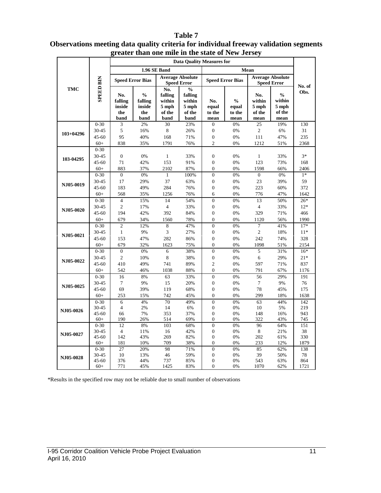| greater than one mile in the state of New Jersey |                    |                                         |                                                   |                                                     |                                                               |                                      |                                          |                                          |                                                    |                |
|--------------------------------------------------|--------------------|-----------------------------------------|---------------------------------------------------|-----------------------------------------------------|---------------------------------------------------------------|--------------------------------------|------------------------------------------|------------------------------------------|----------------------------------------------------|----------------|
|                                                  |                    |                                         |                                                   |                                                     | <b>Data Quality Measures for</b>                              |                                      |                                          |                                          |                                                    |                |
|                                                  |                    |                                         |                                                   | 1.96 SE Band                                        |                                                               |                                      |                                          |                                          |                                                    |                |
|                                                  |                    | <b>Speed Error Bias</b>                 |                                                   |                                                     | <b>Average Absolute</b><br><b>Speed Error</b>                 |                                      | <b>Speed Error Bias</b>                  |                                          | <b>Average Absolute</b><br><b>Speed Error</b>      |                |
| <b>TMC</b>                                       | <b>SPEED BIN</b>   | No.<br>falling<br>inside<br>the<br>band | $\frac{0}{0}$<br>falling<br>inside<br>the<br>band | No.<br>falling<br>within<br>5 mph<br>of the<br>band | $\frac{0}{0}$<br>falling<br>within<br>5 mph<br>of the<br>band | No.<br>equal<br>to the<br>mean       | $\frac{0}{0}$<br>equal<br>to the<br>mean | No.<br>within<br>5 mph<br>of the<br>mean | $\frac{0}{0}$<br>within<br>5 mph<br>of the<br>mean | No. of<br>Obs. |
|                                                  | $0 - 30$           | 3                                       | 2%                                                | 30                                                  | 23%                                                           | $\boldsymbol{0}$                     | 0%                                       | 25                                       | 19%                                                | 130            |
| $103+04296$                                      | 30-45              | 5                                       | 16%                                               | 8                                                   | 26%                                                           | $\boldsymbol{0}$                     | 0%                                       | $\mathfrak{2}$                           | 6%                                                 | 31             |
|                                                  | $45 - 60$          | 95                                      | 40%                                               | 168                                                 | 71%                                                           | $\boldsymbol{0}$                     | 0%                                       | 111                                      | 47%                                                | 235            |
|                                                  | $60+$              | 838                                     | 35%                                               | 1791                                                | 76%                                                           | $\overline{c}$                       | 0%                                       | 1212                                     | 51%                                                | 2368           |
|                                                  | $0 - 30$           |                                         |                                                   |                                                     |                                                               |                                      |                                          |                                          |                                                    |                |
| 103-04295                                        | 30-45              | $\boldsymbol{0}$                        | 0%                                                | $\mathbf{1}$                                        | 33%                                                           | $\boldsymbol{0}$                     | 0%                                       | $\mathbf{1}$                             | 33%                                                | $3*$           |
|                                                  | $45 - 60$          | 71                                      | 42%                                               | 153                                                 | 91%                                                           | $\overline{0}$                       | 0%                                       | 123                                      | 73%                                                | 168            |
|                                                  | $60+$              | 883                                     | 37%                                               | 2102                                                | 87%                                                           | $\overline{0}$                       | 0%                                       | 1598                                     | 66%                                                | 2406           |
|                                                  | $0 - 30$           | $\mathbf{0}$                            | 0%                                                | $\mathbf{1}$                                        | 100%                                                          | $\overline{0}$                       | 0%                                       | $\overline{0}$                           | 0%                                                 | $1*$           |
| NJ05-0019                                        | 30-45              | 17                                      | 29%                                               | 37                                                  | 63%                                                           | $\overline{0}$                       | 0%                                       | 23                                       | 39%                                                | 59             |
|                                                  | $45 - 60$          | 183                                     | 49%                                               | 284                                                 | 76%                                                           | $\overline{0}$                       | 0%                                       | 223                                      | 60%                                                | 372            |
|                                                  | $60+$              | 568                                     | 35%                                               | 1256                                                | 76%                                                           | 6                                    | 0%                                       | 776                                      | 47%                                                | 1642           |
|                                                  | $0 - 30$           | $\overline{4}$                          | 15%                                               | 14                                                  | 54%                                                           | $\overline{0}$                       | 0%                                       | 13                                       | 50%                                                | $26*$          |
| NJ05-0020                                        | 30-45              | $\overline{c}$                          | 17%                                               | $\overline{4}$                                      | 33%                                                           | $\overline{0}$                       | 0%                                       | $\overline{4}$                           | 33%                                                | $12*$          |
|                                                  | 45-60              | 194                                     | 42%                                               | 392                                                 | 84%                                                           | $\boldsymbol{0}$                     | 0%                                       | 329                                      | 71%                                                | 466            |
|                                                  | $60+$              | 679                                     | 34%                                               | 1560                                                | 78%                                                           | $\overline{0}$                       | 0%                                       | 1120                                     | 56%                                                | 1990           |
|                                                  | $0 - 30$           | $\mathbf{2}$                            | 12%                                               | 8                                                   | 47%                                                           | $\theta$                             | 0%                                       | 7                                        | 41%                                                | $17*$          |
| NJ05-0021                                        | 30-45              | $\mathbf{1}$                            | 9%                                                | 3                                                   | 27%                                                           | $\boldsymbol{0}$                     | 0%                                       | $\mathfrak{2}$                           | 18%                                                | $11*$          |
|                                                  | 45-60              | 153                                     | 47%                                               | 282                                                 | 86%                                                           | $\overline{0}$                       | 0%                                       | 242                                      | 74%                                                | 328            |
|                                                  | $60+$              | 679                                     | 32%                                               | 1623                                                | 75%                                                           | $\boldsymbol{0}$                     | 0%                                       | 1098                                     | 51%                                                | 2154           |
|                                                  | $0 - 30$           | $\overline{0}$                          | 0%                                                | 6                                                   | 38%                                                           | $\overline{0}$                       | 0%                                       | 5                                        | 31%                                                | $16*$          |
|                                                  | 30-45              | $\overline{c}$                          | 10%                                               | 8                                                   | 38%                                                           | $\boldsymbol{0}$                     | 0%                                       | 6                                        | 29%                                                | $21*$          |
| NJ05-0022                                        | $45 - 60$          | 410                                     | 49%                                               | 741                                                 | 89%                                                           | $\overline{c}$                       | 0%                                       | 597                                      | 71%                                                | 837            |
|                                                  | $60+$              | 542                                     | 46%                                               | 1038                                                | 88%                                                           | $\overline{0}$                       | 0%                                       | 791                                      | 67%                                                | 1176           |
|                                                  | $0 - 30$           | 16                                      | $8\%$                                             | 63                                                  | 33%                                                           | $\overline{0}$                       | 0%                                       | 56                                       | 29%                                                | 191            |
|                                                  | 30-45              | 7                                       | 9%                                                | 15                                                  | 20%                                                           | $\boldsymbol{0}$                     | 0%                                       | 7                                        | 9%                                                 | 76             |
| NJ05-0025                                        | 45-60              | 69                                      | 39%                                               | 119                                                 | 68%                                                           | $\overline{0}$                       | 0%                                       | 78                                       | 45%                                                | 175            |
|                                                  | $60+$              | 253                                     | 15%                                               | 742                                                 | 45%                                                           | $\overline{0}$                       | 0%                                       | 299                                      | 18%                                                | 1638           |
|                                                  | $0 - 30$           | 6                                       | 4%                                                | 70                                                  | 49%                                                           | $\overline{0}$                       | 0%                                       | 63                                       | 44%                                                | 142            |
| NJ05-0026                                        | 30-45              | $\overline{4}$                          | 2%                                                | 14                                                  | 6%                                                            | $\boldsymbol{0}$                     | 0%                                       | 10                                       | 5%                                                 | 219            |
|                                                  | $45 - 60$          | 66                                      | 7%                                                | 353                                                 | 37%                                                           | $\overline{0}$                       | 0%                                       | 148                                      | 16%                                                | 943            |
|                                                  | $60+$              | 190                                     | 26%                                               | 514                                                 | 69%                                                           | $\overline{0}$                       | 0%                                       | 322                                      | 43%                                                | 745            |
|                                                  | $0 - 30$           | 12                                      | 8%                                                | 103                                                 | 68%                                                           | $\overline{0}$                       | 0%                                       | 96                                       | 64%                                                | 151            |
| NJ05-0027                                        | 30-45              | $\overline{4}$                          | 11%                                               | 16                                                  | 42%                                                           | $\overline{0}$                       | 0%                                       | $\,8\,$                                  | 21%                                                | 38             |
|                                                  | $45 - 60$          | 142                                     | 43%                                               | 269                                                 | 82%                                                           | $\overline{0}$                       | 0%                                       | 202                                      | 61%                                                | 330            |
|                                                  | $60+$              | 181                                     | 10%                                               | 709                                                 | 38%                                                           | $\overline{0}$                       | 0%                                       | 233                                      | 12%                                                | 1879           |
|                                                  | $0 - 30$           | 27                                      | 20%                                               | 98                                                  | 71%                                                           | $\overline{0}$                       | 0%                                       | 85                                       | 62%                                                | 138            |
| NJ05-0028                                        | 30-45<br>$45 - 60$ | 10<br>376                               | 13%<br>44%                                        | 46<br>737                                           | 59%<br>85%                                                    | $\boldsymbol{0}$<br>$\boldsymbol{0}$ | 0%<br>0%                                 | 39<br>543                                | 50%<br>63%                                         | 78<br>864      |
|                                                  | $60+$              | 771                                     | 45%                                               | 1425                                                | 83%                                                           | $\overline{0}$                       | 0%                                       | 1070                                     | 62%                                                | 1721           |
|                                                  |                    |                                         |                                                   |                                                     |                                                               |                                      |                                          |                                          |                                                    |                |

### **Table 7 Observations meeting data quality criteria for individual freeway validation segments greater than one mile in the state of New Jersey**

\*Results in the specified row may not be reliable due to small number of observations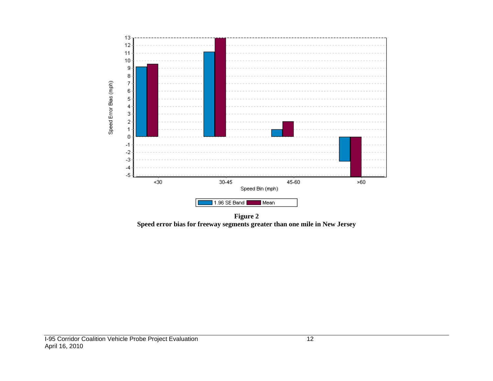

**Figure 2 Speed error bias for freeway segments greater than one mile in New Jersey**